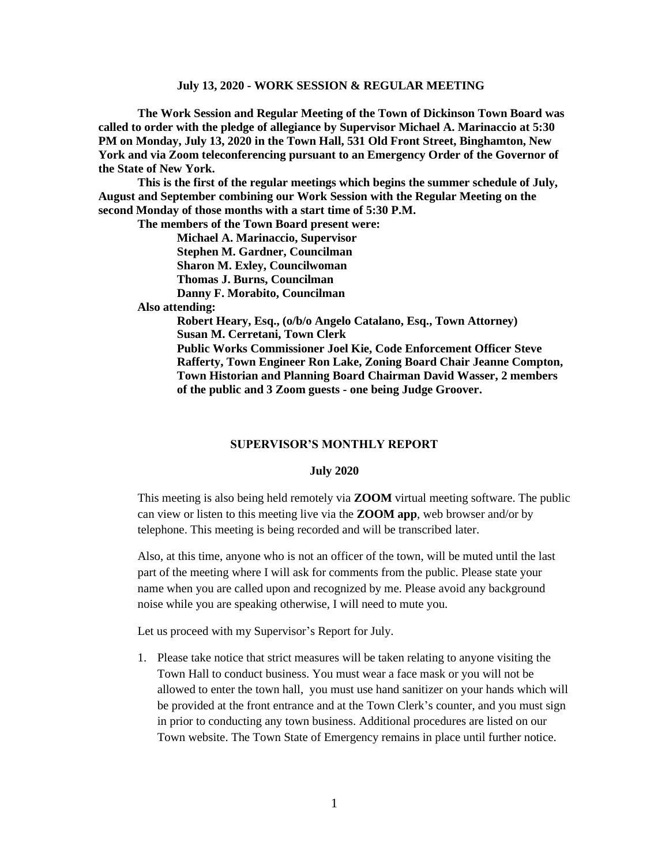**The Work Session and Regular Meeting of the Town of Dickinson Town Board was called to order with the pledge of allegiance by Supervisor Michael A. Marinaccio at 5:30 PM on Monday, July 13, 2020 in the Town Hall, 531 Old Front Street, Binghamton, New York and via Zoom teleconferencing pursuant to an Emergency Order of the Governor of the State of New York.**

**This is the first of the regular meetings which begins the summer schedule of July, August and September combining our Work Session with the Regular Meeting on the second Monday of those months with a start time of 5:30 P.M.**

**The members of the Town Board present were:**

**Michael A. Marinaccio, Supervisor Stephen M. Gardner, Councilman Sharon M. Exley, Councilwoman Thomas J. Burns, Councilman**

**Danny F. Morabito, Councilman**

 **Also attending:**

**Robert Heary, Esq., (o/b/o Angelo Catalano, Esq., Town Attorney) Susan M. Cerretani, Town Clerk Public Works Commissioner Joel Kie, Code Enforcement Officer Steve Rafferty, Town Engineer Ron Lake, Zoning Board Chair Jeanne Compton, Town Historian and Planning Board Chairman David Wasser, 2 members of the public and 3 Zoom guests - one being Judge Groover.**

#### **SUPERVISOR'S MONTHLY REPORT**

#### **July 2020**

This meeting is also being held remotely via **ZOOM** virtual meeting software. The public can view or listen to this meeting live via the **ZOOM app**, web browser and/or by telephone. This meeting is being recorded and will be transcribed later.

Also, at this time, anyone who is not an officer of the town, will be muted until the last part of the meeting where I will ask for comments from the public. Please state your name when you are called upon and recognized by me. Please avoid any background noise while you are speaking otherwise, I will need to mute you.

Let us proceed with my Supervisor's Report for July.

1. Please take notice that strict measures will be taken relating to anyone visiting the Town Hall to conduct business. You must wear a face mask or you will not be allowed to enter the town hall, you must use hand sanitizer on your hands which will be provided at the front entrance and at the Town Clerk's counter, and you must sign in prior to conducting any town business. Additional procedures are listed on our Town website. The Town State of Emergency remains in place until further notice.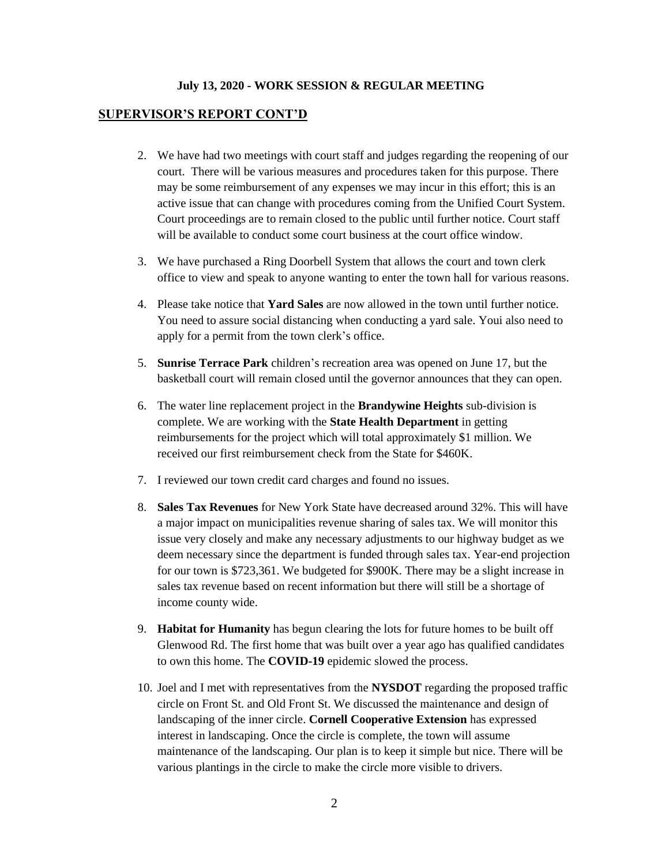#### **SUPERVISOR'S REPORT CONT'D**

- 2. We have had two meetings with court staff and judges regarding the reopening of our court. There will be various measures and procedures taken for this purpose. There may be some reimbursement of any expenses we may incur in this effort; this is an active issue that can change with procedures coming from the Unified Court System. Court proceedings are to remain closed to the public until further notice. Court staff will be available to conduct some court business at the court office window.
- 3. We have purchased a Ring Doorbell System that allows the court and town clerk office to view and speak to anyone wanting to enter the town hall for various reasons.
- 4. Please take notice that **Yard Sales** are now allowed in the town until further notice. You need to assure social distancing when conducting a yard sale. Youi also need to apply for a permit from the town clerk's office.
- 5. **Sunrise Terrace Park** children's recreation area was opened on June 17, but the basketball court will remain closed until the governor announces that they can open.
- 6. The water line replacement project in the **Brandywine Heights** sub-division is complete. We are working with the **State Health Department** in getting reimbursements for the project which will total approximately \$1 million. We received our first reimbursement check from the State for \$460K.
- 7. I reviewed our town credit card charges and found no issues.
- 8. **Sales Tax Revenues** for New York State have decreased around 32%. This will have a major impact on municipalities revenue sharing of sales tax. We will monitor this issue very closely and make any necessary adjustments to our highway budget as we deem necessary since the department is funded through sales tax. Year-end projection for our town is \$723,361. We budgeted for \$900K. There may be a slight increase in sales tax revenue based on recent information but there will still be a shortage of income county wide.
- 9. **Habitat for Humanity** has begun clearing the lots for future homes to be built off Glenwood Rd. The first home that was built over a year ago has qualified candidates to own this home. The **COVID-19** epidemic slowed the process.
- 10. Joel and I met with representatives from the **NYSDOT** regarding the proposed traffic circle on Front St. and Old Front St. We discussed the maintenance and design of landscaping of the inner circle. **Cornell Cooperative Extension** has expressed interest in landscaping. Once the circle is complete, the town will assume maintenance of the landscaping. Our plan is to keep it simple but nice. There will be various plantings in the circle to make the circle more visible to drivers.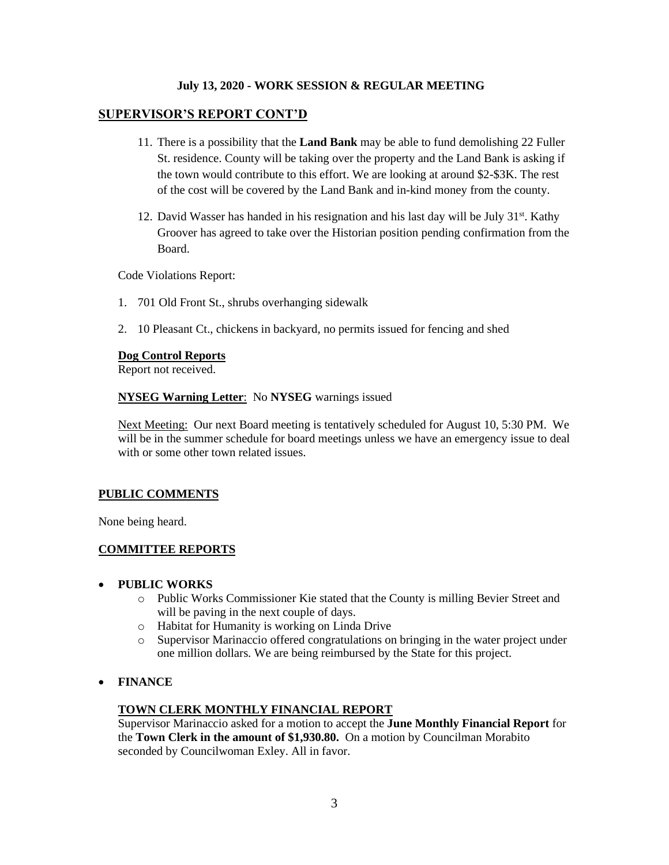## **SUPERVISOR'S REPORT CONT'D**

- 11. There is a possibility that the **Land Bank** may be able to fund demolishing 22 Fuller St. residence. County will be taking over the property and the Land Bank is asking if the town would contribute to this effort. We are looking at around \$2-\$3K. The rest of the cost will be covered by the Land Bank and in-kind money from the county.
- 12. David Wasser has handed in his resignation and his last day will be July 31<sup>st</sup>. Kathy Groover has agreed to take over the Historian position pending confirmation from the Board.

Code Violations Report:

- 1. 701 Old Front St., shrubs overhanging sidewalk
- 2. 10 Pleasant Ct., chickens in backyard, no permits issued for fencing and shed

## **Dog Control Reports**

Report not received.

## **NYSEG Warning Letter**: No **NYSEG** warnings issued

Next Meeting: Our next Board meeting is tentatively scheduled for August 10, 5:30 PM. We will be in the summer schedule for board meetings unless we have an emergency issue to deal with or some other town related issues.

#### **PUBLIC COMMENTS**

None being heard.

# **COMMITTEE REPORTS**

#### • **PUBLIC WORKS**

- o Public Works Commissioner Kie stated that the County is milling Bevier Street and will be paving in the next couple of days.
- o Habitat for Humanity is working on Linda Drive
- o Supervisor Marinaccio offered congratulations on bringing in the water project under one million dollars. We are being reimbursed by the State for this project.
- **FINANCE**

#### **TOWN CLERK MONTHLY FINANCIAL REPORT**

Supervisor Marinaccio asked for a motion to accept the **June Monthly Financial Report** for the **Town Clerk in the amount of \$1,930.80.** On a motion by Councilman Morabito seconded by Councilwoman Exley. All in favor.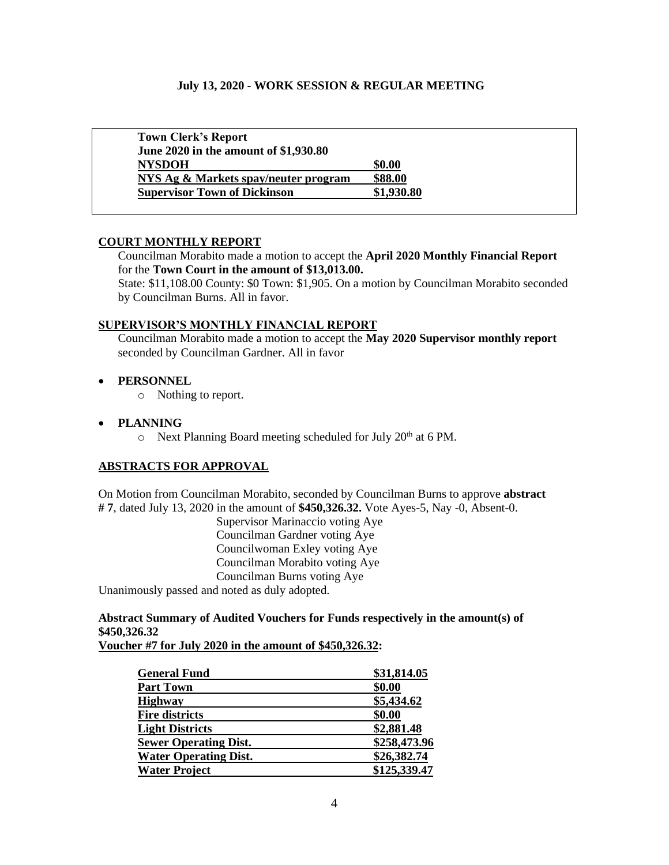| <b>Town Clerk's Report</b>            |            |
|---------------------------------------|------------|
| June 2020 in the amount of \$1,930.80 |            |
| <b>NYSDOH</b>                         | \$0.00     |
| NYS Ag & Markets spay/neuter program  | \$88.00    |
| <b>Supervisor Town of Dickinson</b>   | \$1,930.80 |

#### **COURT MONTHLY REPORT**

Councilman Morabito made a motion to accept the **April 2020 Monthly Financial Report** for the **Town Court in the amount of \$13,013.00.**

State: \$11,108.00 County: \$0 Town: \$1,905. On a motion by Councilman Morabito seconded by Councilman Burns. All in favor.

## **SUPERVISOR'S MONTHLY FINANCIAL REPORT**

Councilman Morabito made a motion to accept the **May 2020 Supervisor monthly report** seconded by Councilman Gardner. All in favor

## • **PERSONNEL**

o Nothing to report.

## • **PLANNING**

 $\circ$  Next Planning Board meeting scheduled for July 20<sup>th</sup> at 6 PM.

# **ABSTRACTS FOR APPROVAL**

On Motion from Councilman Morabito, seconded by Councilman Burns to approve **abstract # 7**, dated July 13, 2020 in the amount of **\$450,326.32.** Vote Ayes-5, Nay -0, Absent-0.

Supervisor Marinaccio voting Aye Councilman Gardner voting Aye Councilwoman Exley voting Aye Councilman Morabito voting Aye Councilman Burns voting Aye Unanimously passed and noted as duly adopted.

# **Abstract Summary of Audited Vouchers for Funds respectively in the amount(s) of \$450,326.32**

**Voucher #7 for July 2020 in the amount of \$450,326.32:**

| <b>General Fund</b>          | \$31,814.05  |
|------------------------------|--------------|
| <b>Part Town</b>             | \$0.00       |
| <b>Highway</b>               | \$5,434.62   |
| <b>Fire districts</b>        | \$0.00       |
| <b>Light Districts</b>       | \$2,881.48   |
| <b>Sewer Operating Dist.</b> | \$258,473.96 |
| <b>Water Operating Dist.</b> | \$26,382.74  |
| <b>Water Project</b>         | \$125,339.47 |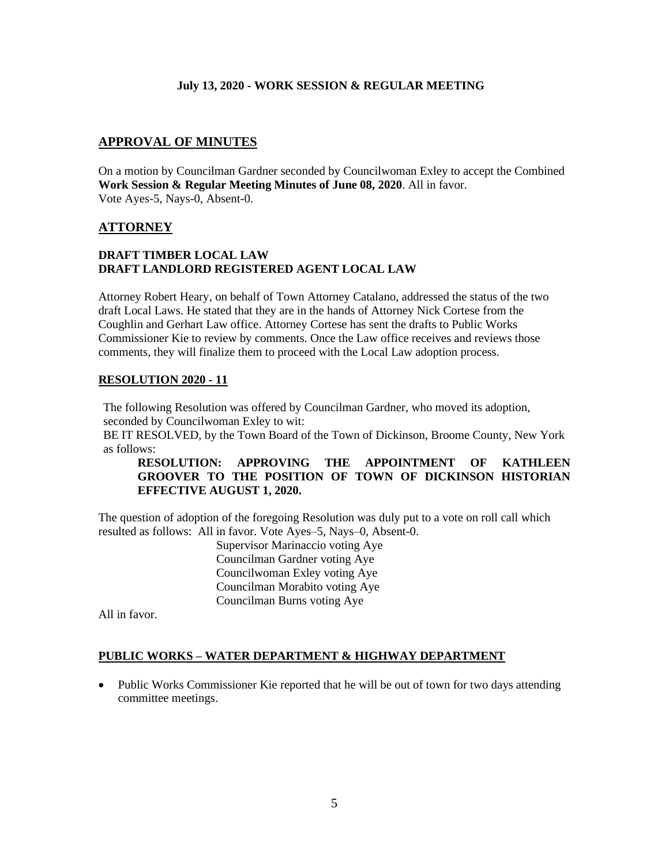# **APPROVAL OF MINUTES**

On a motion by Councilman Gardner seconded by Councilwoman Exley to accept the Combined **Work Session & Regular Meeting Minutes of June 08, 2020**. All in favor. Vote Ayes-5, Nays-0, Absent-0.

# **ATTORNEY**

# **DRAFT TIMBER LOCAL LAW DRAFT LANDLORD REGISTERED AGENT LOCAL LAW**

Attorney Robert Heary, on behalf of Town Attorney Catalano, addressed the status of the two draft Local Laws. He stated that they are in the hands of Attorney Nick Cortese from the Coughlin and Gerhart Law office. Attorney Cortese has sent the drafts to Public Works Commissioner Kie to review by comments. Once the Law office receives and reviews those comments, they will finalize them to proceed with the Local Law adoption process.

## **RESOLUTION 2020 - 11**

The following Resolution was offered by Councilman Gardner, who moved its adoption, seconded by Councilwoman Exley to wit:

BE IT RESOLVED, by the Town Board of the Town of Dickinson, Broome County, New York as follows:

# **RESOLUTION: APPROVING THE APPOINTMENT OF KATHLEEN GROOVER TO THE POSITION OF TOWN OF DICKINSON HISTORIAN EFFECTIVE AUGUST 1, 2020.**

The question of adoption of the foregoing Resolution was duly put to a vote on roll call which resulted as follows: All in favor. Vote Ayes–5, Nays–0, Absent-0.

> Supervisor Marinaccio voting Aye Councilman Gardner voting Aye Councilwoman Exley voting Aye Councilman Morabito voting Aye Councilman Burns voting Aye

All in favor.

# **PUBLIC WORKS – WATER DEPARTMENT & HIGHWAY DEPARTMENT**

• Public Works Commissioner Kie reported that he will be out of town for two days attending committee meetings.